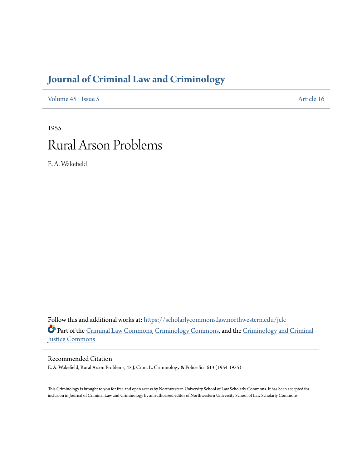## **[Journal of Criminal Law and Criminology](https://scholarlycommons.law.northwestern.edu/jclc?utm_source=scholarlycommons.law.northwestern.edu%2Fjclc%2Fvol45%2Fiss5%2F16&utm_medium=PDF&utm_campaign=PDFCoverPages)**

[Volume 45](https://scholarlycommons.law.northwestern.edu/jclc/vol45?utm_source=scholarlycommons.law.northwestern.edu%2Fjclc%2Fvol45%2Fiss5%2F16&utm_medium=PDF&utm_campaign=PDFCoverPages) | [Issue 5](https://scholarlycommons.law.northwestern.edu/jclc/vol45/iss5?utm_source=scholarlycommons.law.northwestern.edu%2Fjclc%2Fvol45%2Fiss5%2F16&utm_medium=PDF&utm_campaign=PDFCoverPages) [Article 16](https://scholarlycommons.law.northwestern.edu/jclc/vol45/iss5/16?utm_source=scholarlycommons.law.northwestern.edu%2Fjclc%2Fvol45%2Fiss5%2F16&utm_medium=PDF&utm_campaign=PDFCoverPages)

# 1955 Rural Arson Problems

E. A. Wakefield

Follow this and additional works at: [https://scholarlycommons.law.northwestern.edu/jclc](https://scholarlycommons.law.northwestern.edu/jclc?utm_source=scholarlycommons.law.northwestern.edu%2Fjclc%2Fvol45%2Fiss5%2F16&utm_medium=PDF&utm_campaign=PDFCoverPages) Part of the [Criminal Law Commons](http://network.bepress.com/hgg/discipline/912?utm_source=scholarlycommons.law.northwestern.edu%2Fjclc%2Fvol45%2Fiss5%2F16&utm_medium=PDF&utm_campaign=PDFCoverPages), [Criminology Commons](http://network.bepress.com/hgg/discipline/417?utm_source=scholarlycommons.law.northwestern.edu%2Fjclc%2Fvol45%2Fiss5%2F16&utm_medium=PDF&utm_campaign=PDFCoverPages), and the [Criminology and Criminal](http://network.bepress.com/hgg/discipline/367?utm_source=scholarlycommons.law.northwestern.edu%2Fjclc%2Fvol45%2Fiss5%2F16&utm_medium=PDF&utm_campaign=PDFCoverPages) [Justice Commons](http://network.bepress.com/hgg/discipline/367?utm_source=scholarlycommons.law.northwestern.edu%2Fjclc%2Fvol45%2Fiss5%2F16&utm_medium=PDF&utm_campaign=PDFCoverPages)

### Recommended Citation

E. A. Wakefield, Rural Arson Problems, 45 J. Crim. L. Criminology & Police Sci. 613 (1954-1955)

This Criminology is brought to you for free and open access by Northwestern University School of Law Scholarly Commons. It has been accepted for inclusion in Journal of Criminal Law and Criminology by an authorized editor of Northwestern University School of Law Scholarly Commons.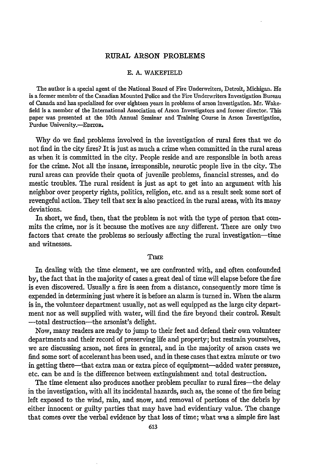#### RURAL **ARSON** PROBLEMS

#### E. A. WAKEFIELD

The author is a special agent of the National Board of Fire Underwriters, Detroit, Michigan. He is a former member of the Canadian Mounted Police and the Fire Underwriters Investigation Bureau of Canada and has specialized for over eighteen years in problems of arson investigation. Mr. Wakefield is a member of the International Association of Arson Investigators and former director. This paper was presented at the 10th Annual Seminar and Training Course in Arson Investigation, Purdue University.--EDITOR.

Why do we find problems involved in the investigation of rural fires that we do not find in the city fires? It is just as much a crime when committed in the rural areas as when it is committed in the city. People reside and are responsible in both areas for the crime. Not all the insane, irresponsible, neurotic people live in the city. The rural areas can provide their quota of juvenile problems, financial stresses, and do mestic troubles. The rural resident is just as apt to get into an argument with his neighbor over property rights, politics, religion, etc. and as a result seek some sort of revengeful action. They tell that sex is also practiced in the rural areas, with its many deviations.

In short, we find, then, that the problem is not with the type of person that commits the crime, nor is it because the motives are any different. There are only two factors that create the problems so seriously affecting the rural investigation-time and witnesses.

#### **Tnm**

In dealing with the time element, we are confronted with, and often confounded by, the fact that in the majority of cases a great deal of time will elapse before the fire is even discovered. Usually a fire is seen from a distance, consequently more time is expended in determining just where it is before an alarm is turned in. When the alarm is in, the volunteer department usually, not as well equipped as the large city department nor as well supplied with water, will find the fire beyond their control. Result -total destruction-the arsonist's delight.

Now, many readers are ready to jump to their feet and defend their own volunteer departments and their record of preserving life and property; but restrain yourselves, we are discussing arson, not fires in general, and in the majority of arson cases we find some sort of accelerant has been used, and in these cases that extra minute or two in getting there-that extra man or extra piece of equipment-added water pressure, etc. can be and is the difference between extinguishment and total destruction.

The time element also produces another problem peculiar to rural fires-the delay in the investigation, with all its incidental hazards, such as, the scene of the fire being left exposed to the wind, rain, and snow, and removal of portions of the debris by either innocent or guilty parties that may have had evidentiary value. The change that comes over the verbal evidence by that loss of time; what was a simple fire last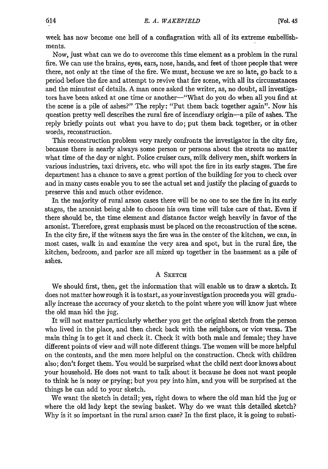week has now become one hell of a conflagration with all of its extreme embellishments.

Now, just what can we do to overcome this time element as a problem in the rural fire. We can use the brains, eyes, ears, nose, hands, and feet of those people that were there, not only at the time of the fire. We must, because we are so late, go back to a period before the fire and attempt to revive that fire scene, with all its circumstances and the minutest of details. A man once asked the writer, as, no doubt, all investigators have been asked at one time or another-"What do you do when all you find at the scene is a pile of ashes?" The reply: "Put them back together again". Now his question pretty well describes the rural fire of incendiary origin-a pile of ashes. The reply briefly points out what you have to do; put them back together, or in other words, reconstruction.

This reconstruction problem very rarely confronts the investigator in the city fire, because there is nearly always some person or persons about the streets no matter what time of the day or night. Police cruiser cars, milk delivery men, shift workers in various industries, taxi drivers, etc. who will spot the fire in its early stages. The fire department has a chance to save a great portion of the building for you to check over and in many cases enable you to see the actual set and justify the placing of guards to preserve this and much other evidence.

In the majority of rural arson cases there will be no one to see the fire in its early stages, the arsonist being able to choose his own time will take care of that. Even if there should be, the time element and distance factor weigh heavily in favor of the arsonist. Therefore, great emphasis must be placed on the reconstruction of the scene. In the city fire, if the witness says the fire was in the center of the kitchen, we can, in most cases, walk in and examine the very area and spot, but in the rural fire, the kitchen, bedroom, and parlor are all mixed up together in the basement as a pile of ashes.

#### A **SKETCH**

We should first, then, get the information that will enable us to draw a sketch. It does not matter how rough it is to start, as your investigation proceeds you will gradually increase the accuracy of your sketch to the point where you will know just where the old man hid the jug.

It will not matter particularly whether you get the original sketch from the person who lived in the place, and then check back with the neighbors, or vice versa. The main thing is to get it and check it. Check it with both male and female; they have different points of view and will note different things. The women will be more helpful on the contents, and the men more helpful on the construction. Check with children also; don't forget them. You would be surprised what the child next door knows about your household. He does not want to talk about it because he does not want people to think he is nosy or prying; but you pry into him, and you will be surprised at the things he can add to your sketch.

We want the sketch in detail; yes, right down to where the old man hid the jug or where the old lady kept the sewing basket. Why do we want this detailed sketch? Why is it so important in the rural arson case? In the first place, it is going to substi-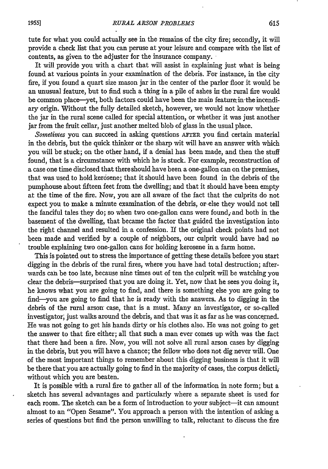tute for what you could actually see in the remains of the city fire; secondly, it will provide a check list that you can peruse at your leisure and compare with the list of contents, as given to the adjuster for the insurance company.

It will provide you with a chart that will assist in explaining just what is being found at various points in your examination of the debris. For instance, in the city fire, if you found a quart size mason jar in the center of the parlor floor it would be an unusual feature, but to find such a thing in a pile of ashes in -the rural fire would be common place—yet, both factors could have been the main feature in-the incendiary origin. Without the fully detailed sketch, however, we would not know whether the jar in the rural scene called for special attention, or whether it was just another jar from the fruit cellar, just another melted blob of glass in the usual place.

Sometimes you can succeed in asking questions **AFTER you** find certain material in the debris, but the quick thinker or the sharp wit will have an answer with which you will be stuck; on the other hand, if a denial has been made, and then the stuff found, that is a circumstance with which he is stuck. For example, reconstruction of a case one time disclosed that thereshould have been a one-gallon can on the premises, that was used to hold kerosene; that it should have been found in the debris of the pumphouse about fifteen feet from the dwelling; and that it should have been empty at the time of the fire. Now, you are all aware of the fact that the culprits do not expect you to make a minute examination of the debris, or else they would not tell the fanciful tales they do; so when two one-gallon cans were found, and both in the basement of the dwelling, that became the factor that guided the investigation into the right channel and resulted in a confession. If the original check points had not been made and verified by a couple of neighbors, our culprit would have had no trouble explaining two one-gallon cans for holding kerosene in a farm home.

This is pointed out to stress the importance of getting these details before you start digging in the debris of the rural fires, where you have had total destruction; afterwards can be too late, because nine times out of ten the culprit will be watching you clear the debris-surprised that you are doing it. Yet, now that he sees you doing it, he knows what you are going to find, and there is something else you are going to find-you are going to find that he is ready with the answers. As to digging in the debris of the rural arson case, that is a must. Many an investigator, or so-called investigator; just walks around the debris, and that was it as far as he was concerned. He was not going to get his hands dirty or his clothes also. He was not going to get the answer to that fire either; all that such a man ever comes up with was the fact that there had been a fire. Now, you will not solve all rural arson cases by digging in the debris, but you will have a chance; the fellow who does not dig never will. One of the most important things to remember about this digging business is that it will be there that you are actually going to find in the majority of cases, the corpus delicti, without which you are beaten.

It is possible with a rural fire to gather all of the information in note form; but a sketch has several advantages and particularly where a separate sheet is used for each room. The sketch can be a form of introduction to your subject—it can amount almost to an "Open Sesame". You approach a person with the intention of asking a series of questions but find the person unwilling to talk, reluctant to discuss the fire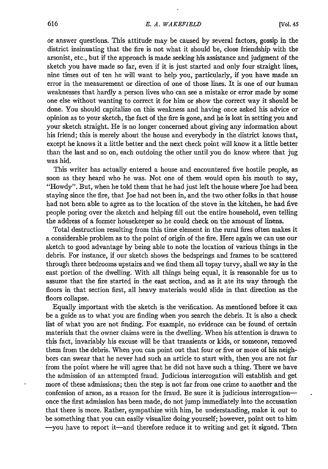or answer questions. This attitude may be caused by several factors, gossip in the district insinuating that the fire is not what it should be, close friendship with the arsonist, etc., but if the approach is made seeking his assistance and judgment of the sketch you have made so far, even if it is just started and only four straight lines, nine times out of ten he will want to help you, particularly, **if** you have made an error in the measurement or direction of one of those lines. It is one of our human weaknesses that hardly a person lives who can see a mistake or error made by some one else without wanting to correct it for him or show the correct way it should be done. You should capitalize on this weakness and having once asked his advice or opinion as to your sketch, the fact of the fire is gone, and he is lost in setting you and your sketch straight. He is no longer concerned about giving any information about his friend; this is merely about the house and everybody in the district knows that, except he knows it a little better and the next check point will know it a little better than the last and so on, each outdoing the other until you do know where that jug was hid.

This writer has actually entered a house and encountered five hostile people, as soon as they heard who he was. Not one of them would open his mouth to say, "Howdy". But, when he told them that he had just left the house where Joe had been staying since the fire, that Joe had not been in, and the two other folks in that house had not been able to agree as to the location of the stove in the kitchen, he had five people poring over the sketch and helping fill out the entire household, even telling the address of a former housekeeper so he could check on the amount of linens.

Total destruction resulting from this time element in the rural fires often makes it a considerable problem as to the point of origin of the fire. Here again we can use our sketch to good advantage by being able to note the location of various things in the debris. For instance, if our sketch shows the bedsprings and frames to be scattered through three bedrooms upstairs and we find them all topsy turvy, shall we say in the east portion of the dwelling. With all things being equal, it is reasonable for us to assume that the fire started in the east section, and as it ate its way through the floors in that section first, all heavy materials would slide in that direction as the floors collapse.

Equally important with the sketch is the verification. As mentioned before it can be a guide as to what you are finding when you search the debris. It is also a check list of what you are not finding. For example, no evidence can be found of certain materials that the owner claims were in the dwelling. When his attention is drawn to this fact, invariably his excuse will be that transients or kids, or someone, removed them from the debris. When you can point out that four or five or more of his neighbors can swear that he never had such an article to start with, then you are not far from the point where he will agree that he did not have such a thing. There we have the admission of an attempted fraud. Judicious interrogation will establish and get more of these admissions; then the step is not far from one crime to another and the confession of arson, as a reason for the fraud. Be sure it is judicious interrogationonce the first admission has been made, do not jump immediately into the accusation that there is more. Rather, sympathize with him, be understanding, make it out to be something that you can easily visualize doing yourself; however, point out to him -you have to report it-and therefore reduce it to writing and get it signed. Then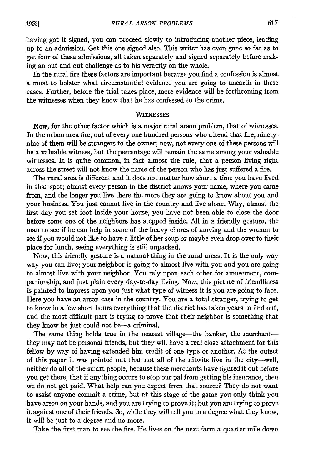having got it signed, you can proceed slowly to introducing another piece, leading up to an admission. Get this one signed also. This writer has even gone so far as to get four of these admissions, all taken separately and signed separately before making an out and out challenge as to his veracity on the whole.

In the rural fire these factors are important because you find a confession is almost a must to bolster what circumstantial evidence you are going to unearth in these cases. Further, before the trial takes place, more evidence will be forthcoming from the witnesses when they know that he has confessed to the crime.

#### **WITNESSES**

Now, for the other factor which is a major rural arson problem, that of witnesses. In the urban area fire, out of every one hundred persons who attend that fire, ninetynine of them will be strangers to the owner; now, not every one of these persons will be a valuable witness, but the percentage will remain the same among your valuable witnesses. It is quite common, in fact almost the rule, that a person living right across the street will not know the name of the person who has just suffered a fire.

The rural area is different and it does not matter how short a time you have lived in that spot; almost every person in the district knows your name, where you came from, and the longer you live there the more they are going to know about you and your business. You just cannot live in the country and live alone. Why, almost the first day you set foot inside your house, you have not been able to close the door before some one of the neighbors has stepped inside. All in a friendly gesture, the man to see if he can help in some of the heavy chores of moving and the woman to see if you would not like to have a little of her soup or maybe even drop over to their place for lunch, seeing everything is still unpacked.

Now, this friendly gesture is a natural- thing in the rural areas. It is the only way way you can live; your neighbor is going to almost live with you and you are going to almost live with your neighbor. You rely upon each other for amusement, companionship, and just plain every day-to-day living. Now, this picture of friendliness is painted to impress upon you just what type of witness it is you are going to face. Here you have an arson case in the country. You are a total stranger, trying to get to know in a few short hours everything that the district has taken years to find out, and the most difficult part is trying to prove that their neighbor is something that they know he just could not be-a criminal.

The same thing holds true in the nearest village-the banker, the merchantthey may not be personal friends, but they will have a real close attachment for this fellow by way of having extended him credit of one type or another. At the outset of this paper it was pointed out that not all of the nitwits live in the city-well, neither do all of the smart people, because these merchants have figured it out before you get there, that if anything occurs to stop our pal from getting his insurance, then we do not get paid. What help can you expect from that source? They do not want to assist anyone commit a crime, but at this stage of the game you only think you have arson on your hands, and you are trying to prove it; but you are trying to prove it against one of their friends. So, while they will tell you to a degree what they know, it will be just to a degree and no more.

Take the first man to see the fire. He lives on the next farm a quarter mile down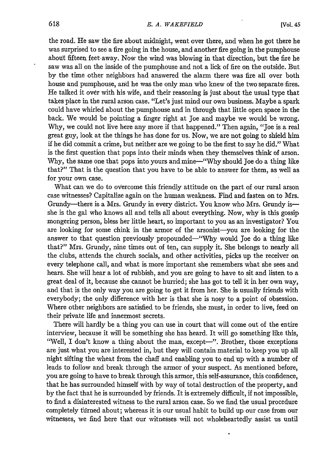the road. He saw the fire about midnight, went over there, and when he got there he was surprised to see a fire going in the house, and another fire going in the pumphouse about fifteen feet away. Now the wind was blowing in that direction, but the fire he saw was all on the inside of the pumphouse and not a lick of fire on the outside. But by the time other neighbors had answered the alarm there was fire all over both house and pumphouse, and he was the only man who knew of the two separate-fires. He talked it over with his wife, and their reasoning is just about the usual type that takes place in the rural arson case. "Let's just mind our own business. Maybe a spark could have whirled about the pumphouse and in through that little open space in the back. We would be pointing a finger right at Joe and maybe we would be wrong. Why, we could not live here any more if that happened." Then again, "Joe is a real great guy, look at the things he has done for us. Now, we are not going to shield him if he did commit a crime, but neither are we going to be the first to say he did." What is the first question that pops into their minds when they themselves think of arson. Why, the same one that pops into yours and mine-"Why should Joe do a thing like that?" That is the question that you have to be able to answer for them, as well as for your own case.

What can we do to overcome this friendly attitude on the part of our rural arson case witnesses? Capitalize again on the human weakness. Find and fasten on to Mrs. Grundy-there is a Mrs. Grundy in every district. You know who Mrs. Grundy isshe is the gal who knows all and tells all about everything. Now, why is this gossip mongering person, bless her little heart, so important to you as an investigator? You are looking for some chink in the armor of the arsonist-you are looking for the answer to that question previously propounded-"Why would Joe do a thing like that?" Mrs. Grundy, nine times out of ten, can supply it. She belongs to nearly all the clubs, attends the church socials, and other activities, picks up the receiver on every telephone call, and what is more important she remembers what she sees and hears. She will hear a lot of rubbish, and you are going to have to sit and listen to a great deal of it, because she cannot be hurried; she has got to tell it in her own way, and that is the only way you are going to get it from her. She is usually friends with everybody; the only difference with her is that she is nosy to a point of obsession. Where other neighbors are satisfied to be friends, she must, in order to live, feed on their private life and innermost secrets.

There will hardly be a thing you can use in court that will come out of the entire interview, because it will be something she has heard. It will go something like this, "Well, I don't know a thing about the man, except-". Brother, those exceptions are just what you are interested in, but they will contain material to keep you up all night sifting the wheat from the chaff and enabling you to end up with a number of leads to follow and break through the armor of your suspect. As mentioned before, you are going to have to break through this armor, this self-assurance, this confidence, that he has surrounded himself with by way of total destruction of the property, and by the fact that he is surrounded by friends. It is extremely difficult, if not impossible, to find a disinterested witness to the rural arson case. So we find the usual procedure completely turned about; whereas it is our usual habit to build up our case from our witnesses, we find here that our witnesses will not wholeheartedly assist us until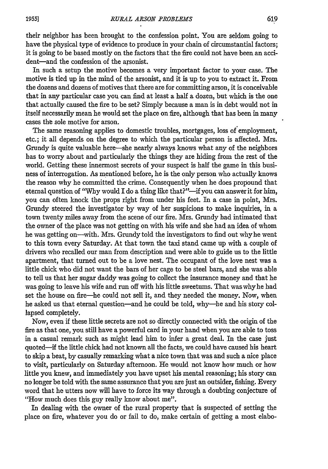their neighbor has been brought to the confession point. You are seldom going to have the physical type of evidence to produce in your chain of circumstantial factors; it is going to be based mostly on the factors that the fire could not have been an accident-and the confession of the arsonist.

In such a setup the motive becomes a very important factor to your case. The motive is tied up in the mind of the arsonist, and it is up to you to extract it. From the dozens and dozens of motives that there are for committing arson, it is conceivable that in any particular case you can find at least a half a dozen, but which is the one that actually caused the fire to be set? Simply because a man is in debt would not in itself necessarily mean he would set the place on fire, although that has been in many cases *the* sole motive for arson.

The same reasoning applies to domestic troubles, mortgages, loss of employment, etc.; it all depends on the degree to which the particular person is affected. Mrs. Grundy is quite valuable here-she nearly always knows what any of the neighbors has to worry about and particularly the things they are hiding from the rest of the world. Getting these innermost secrets of your suspect is half the game in this business of interrogation. As mentioned before, he is the only person who actually knows the reason why he committed the crime. Consequently when he does propound that eternal question of "Why would I do a thing like that?"-if you can answer it for him, you can often knock the props right from under his feet. In a case in point, Mrs. Grundy steered the investigator by way of her suspicions to make inquiries, in a town twenty miles away from the scene of our fire. Mrs. Grundy bad intimated that the owner of the place was not getting on with his wife and she had an idea of whom he was getting on-with. Mrs. Grundy told the investigators to find out whyhe went to this town every Saturday. At that town the taxi stand came up with a couple of drivers who recalled our man from description and were able to guide us to the little apartment, that turned out to be a love nest. The occupant of the love nest was a little chick who did not want the bars of her cage to be steel bars, and she was able to tell us that her sugar daddy was going to collect the insurance money and that he was going to leave his wife and run off with his little sweetums. That waswhyhe had set the house on fire-he could not sell it, and they needed the money. Now, when he asked us that eternal question-and he could be told, why-he and his story collapsed completely.

Now, even if these little secrets are not so directly connected with the origin of the fire as that one, you still have a powerful card in your hand when you are able to toss in a casual remark such as might lead him to infer a great deal. In the case just quoted-if the little chick had not known all the facts, we could have caused his heart to skip a beat, by casually remarking what a nice town that was and such a nice place to visit, particularly on Saturday afternoon. He would not know how much or how little you knew, and immediately you have upset his mental reasoning; his story can no longer be told with the same assurance that you are just an outsider, fishing. Every word that he utters now will have to force its way through a doubting conjecture of "How much does this guy really know about me".

In dealing with the owner of the rural property that is suspected of setting the place on fire, whatever you do or fail to do, make certain of getting a most elabo